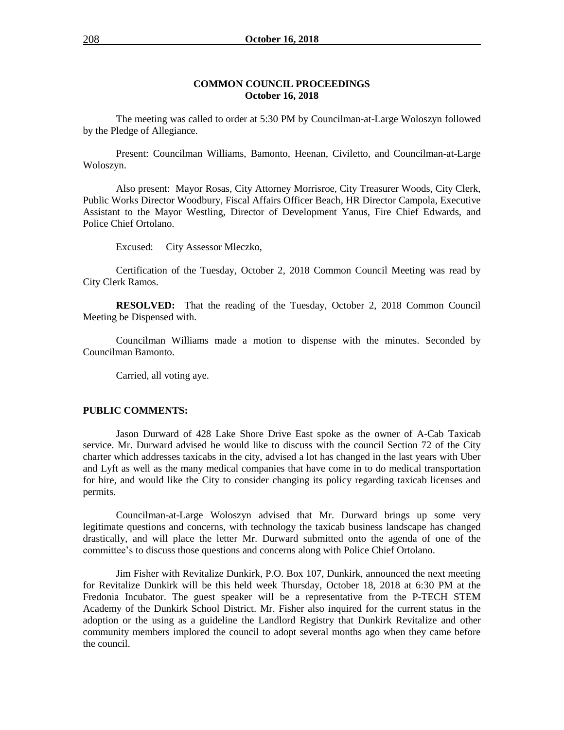## **COMMON COUNCIL PROCEEDINGS October 16, 2018**

The meeting was called to order at 5:30 PM by Councilman-at-Large Woloszyn followed by the Pledge of Allegiance.

Present: Councilman Williams, Bamonto, Heenan, Civiletto, and Councilman-at-Large Woloszyn.

Also present: Mayor Rosas, City Attorney Morrisroe, City Treasurer Woods, City Clerk, Public Works Director Woodbury, Fiscal Affairs Officer Beach, HR Director Campola, Executive Assistant to the Mayor Westling, Director of Development Yanus, Fire Chief Edwards, and Police Chief Ortolano.

Excused: City Assessor Mleczko,

Certification of the Tuesday, October 2, 2018 Common Council Meeting was read by City Clerk Ramos.

**RESOLVED:** That the reading of the Tuesday, October 2, 2018 Common Council Meeting be Dispensed with.

Councilman Williams made a motion to dispense with the minutes. Seconded by Councilman Bamonto.

Carried, all voting aye.

#### **PUBLIC COMMENTS:**

Jason Durward of 428 Lake Shore Drive East spoke as the owner of A-Cab Taxicab service. Mr. Durward advised he would like to discuss with the council Section 72 of the City charter which addresses taxicabs in the city, advised a lot has changed in the last years with Uber and Lyft as well as the many medical companies that have come in to do medical transportation for hire, and would like the City to consider changing its policy regarding taxicab licenses and permits.

Councilman-at-Large Woloszyn advised that Mr. Durward brings up some very legitimate questions and concerns, with technology the taxicab business landscape has changed drastically, and will place the letter Mr. Durward submitted onto the agenda of one of the committee's to discuss those questions and concerns along with Police Chief Ortolano.

Jim Fisher with Revitalize Dunkirk, P.O. Box 107, Dunkirk, announced the next meeting for Revitalize Dunkirk will be this held week Thursday, October 18, 2018 at 6:30 PM at the Fredonia Incubator. The guest speaker will be a representative from the P-TECH STEM Academy of the Dunkirk School District. Mr. Fisher also inquired for the current status in the adoption or the using as a guideline the Landlord Registry that Dunkirk Revitalize and other community members implored the council to adopt several months ago when they came before the council.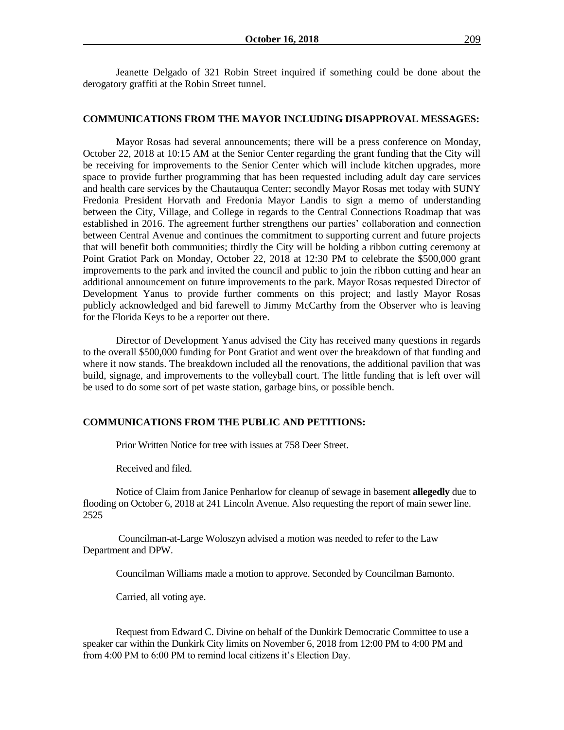### **COMMUNICATIONS FROM THE MAYOR INCLUDING DISAPPROVAL MESSAGES:**

Mayor Rosas had several announcements; there will be a press conference on Monday, October 22, 2018 at 10:15 AM at the Senior Center regarding the grant funding that the City will be receiving for improvements to the Senior Center which will include kitchen upgrades, more space to provide further programming that has been requested including adult day care services and health care services by the Chautauqua Center; secondly Mayor Rosas met today with SUNY Fredonia President Horvath and Fredonia Mayor Landis to sign a memo of understanding between the City, Village, and College in regards to the Central Connections Roadmap that was established in 2016. The agreement further strengthens our parties' collaboration and connection between Central Avenue and continues the commitment to supporting current and future projects that will benefit both communities; thirdly the City will be holding a ribbon cutting ceremony at Point Gratiot Park on Monday, October 22, 2018 at 12:30 PM to celebrate the \$500,000 grant improvements to the park and invited the council and public to join the ribbon cutting and hear an additional announcement on future improvements to the park. Mayor Rosas requested Director of Development Yanus to provide further comments on this project; and lastly Mayor Rosas publicly acknowledged and bid farewell to Jimmy McCarthy from the Observer who is leaving for the Florida Keys to be a reporter out there.

Director of Development Yanus advised the City has received many questions in regards to the overall \$500,000 funding for Pont Gratiot and went over the breakdown of that funding and where it now stands. The breakdown included all the renovations, the additional pavilion that was build, signage, and improvements to the volleyball court. The little funding that is left over will be used to do some sort of pet waste station, garbage bins, or possible bench.

## **COMMUNICATIONS FROM THE PUBLIC AND PETITIONS:**

Prior Written Notice for tree with issues at 758 Deer Street.

Received and filed.

Notice of Claim from Janice Penharlow for cleanup of sewage in basement **allegedly** due to flooding on October 6, 2018 at 241 Lincoln Avenue. Also requesting the report of main sewer line. 2525

Councilman-at-Large Woloszyn advised a motion was needed to refer to the Law Department and DPW.

Councilman Williams made a motion to approve. Seconded by Councilman Bamonto.

Carried, all voting aye.

Request from Edward C. Divine on behalf of the Dunkirk Democratic Committee to use a speaker car within the Dunkirk City limits on November 6, 2018 from 12:00 PM to 4:00 PM and from 4:00 PM to 6:00 PM to remind local citizens it's Election Day.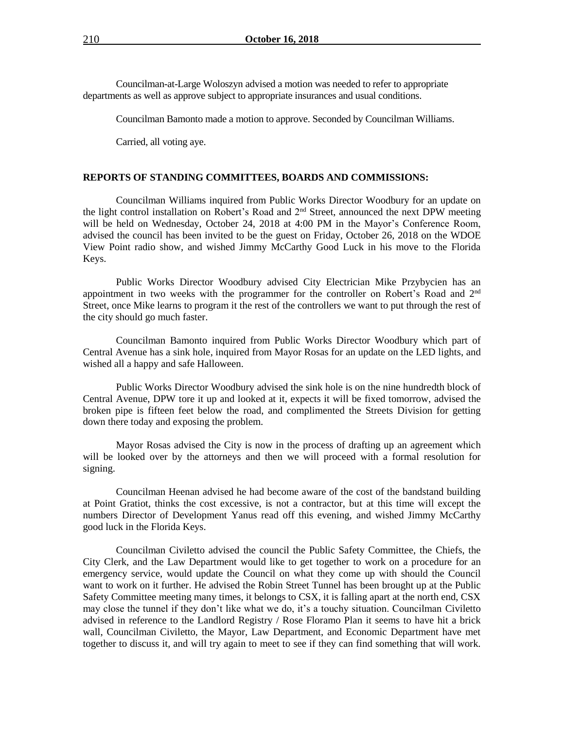Councilman-at-Large Woloszyn advised a motion was needed to refer to appropriate departments as well as approve subject to appropriate insurances and usual conditions.

Councilman Bamonto made a motion to approve. Seconded by Councilman Williams.

Carried, all voting aye.

## **REPORTS OF STANDING COMMITTEES, BOARDS AND COMMISSIONS:**

Councilman Williams inquired from Public Works Director Woodbury for an update on the light control installation on Robert's Road and 2<sup>nd</sup> Street, announced the next DPW meeting will be held on Wednesday, October 24, 2018 at 4:00 PM in the Mayor's Conference Room, advised the council has been invited to be the guest on Friday, October 26, 2018 on the WDOE View Point radio show, and wished Jimmy McCarthy Good Luck in his move to the Florida Keys.

Public Works Director Woodbury advised City Electrician Mike Przybycien has an appointment in two weeks with the programmer for the controller on Robert's Road and 2nd Street, once Mike learns to program it the rest of the controllers we want to put through the rest of the city should go much faster.

Councilman Bamonto inquired from Public Works Director Woodbury which part of Central Avenue has a sink hole, inquired from Mayor Rosas for an update on the LED lights, and wished all a happy and safe Halloween.

Public Works Director Woodbury advised the sink hole is on the nine hundredth block of Central Avenue, DPW tore it up and looked at it, expects it will be fixed tomorrow, advised the broken pipe is fifteen feet below the road, and complimented the Streets Division for getting down there today and exposing the problem.

Mayor Rosas advised the City is now in the process of drafting up an agreement which will be looked over by the attorneys and then we will proceed with a formal resolution for signing.

Councilman Heenan advised he had become aware of the cost of the bandstand building at Point Gratiot, thinks the cost excessive, is not a contractor, but at this time will except the numbers Director of Development Yanus read off this evening, and wished Jimmy McCarthy good luck in the Florida Keys.

Councilman Civiletto advised the council the Public Safety Committee, the Chiefs, the City Clerk, and the Law Department would like to get together to work on a procedure for an emergency service, would update the Council on what they come up with should the Council want to work on it further. He advised the Robin Street Tunnel has been brought up at the Public Safety Committee meeting many times, it belongs to CSX, it is falling apart at the north end, CSX may close the tunnel if they don't like what we do, it's a touchy situation. Councilman Civiletto advised in reference to the Landlord Registry / Rose Floramo Plan it seems to have hit a brick wall, Councilman Civiletto, the Mayor, Law Department, and Economic Department have met together to discuss it, and will try again to meet to see if they can find something that will work.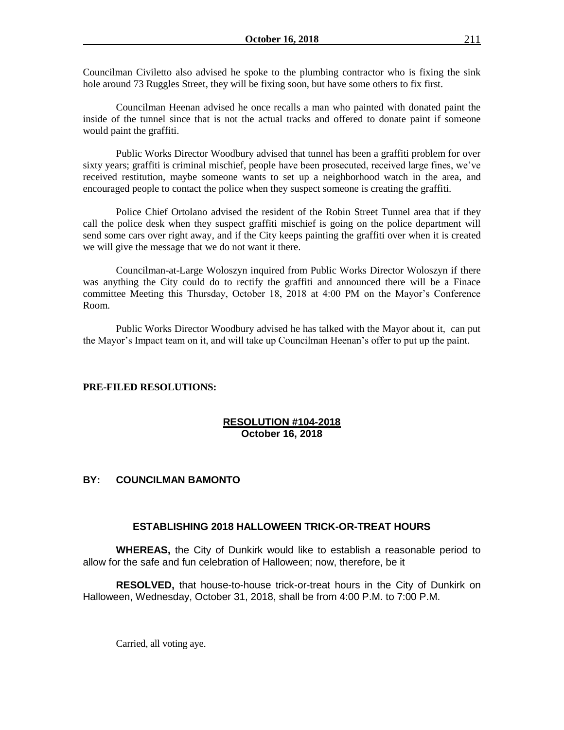Councilman Civiletto also advised he spoke to the plumbing contractor who is fixing the sink hole around 73 Ruggles Street, they will be fixing soon, but have some others to fix first.

Councilman Heenan advised he once recalls a man who painted with donated paint the inside of the tunnel since that is not the actual tracks and offered to donate paint if someone would paint the graffiti.

Public Works Director Woodbury advised that tunnel has been a graffiti problem for over sixty years; graffiti is criminal mischief, people have been prosecuted, received large fines, we've received restitution, maybe someone wants to set up a neighborhood watch in the area, and encouraged people to contact the police when they suspect someone is creating the graffiti.

Police Chief Ortolano advised the resident of the Robin Street Tunnel area that if they call the police desk when they suspect graffiti mischief is going on the police department will send some cars over right away, and if the City keeps painting the graffiti over when it is created we will give the message that we do not want it there.

Councilman-at-Large Woloszyn inquired from Public Works Director Woloszyn if there was anything the City could do to rectify the graffiti and announced there will be a Finace committee Meeting this Thursday, October 18, 2018 at 4:00 PM on the Mayor's Conference Room.

Public Works Director Woodbury advised he has talked with the Mayor about it, can put the Mayor's Impact team on it, and will take up Councilman Heenan's offer to put up the paint.

#### **PRE-FILED RESOLUTIONS:**

## **RESOLUTION #104-2018 October 16, 2018**

## **BY: COUNCILMAN BAMONTO**

### **ESTABLISHING 2018 HALLOWEEN TRICK-OR-TREAT HOURS**

**WHEREAS,** the City of Dunkirk would like to establish a reasonable period to allow for the safe and fun celebration of Halloween; now, therefore, be it

**RESOLVED,** that house-to-house trick-or-treat hours in the City of Dunkirk on Halloween, Wednesday, October 31, 2018, shall be from 4:00 P.M. to 7:00 P.M.

Carried, all voting aye.